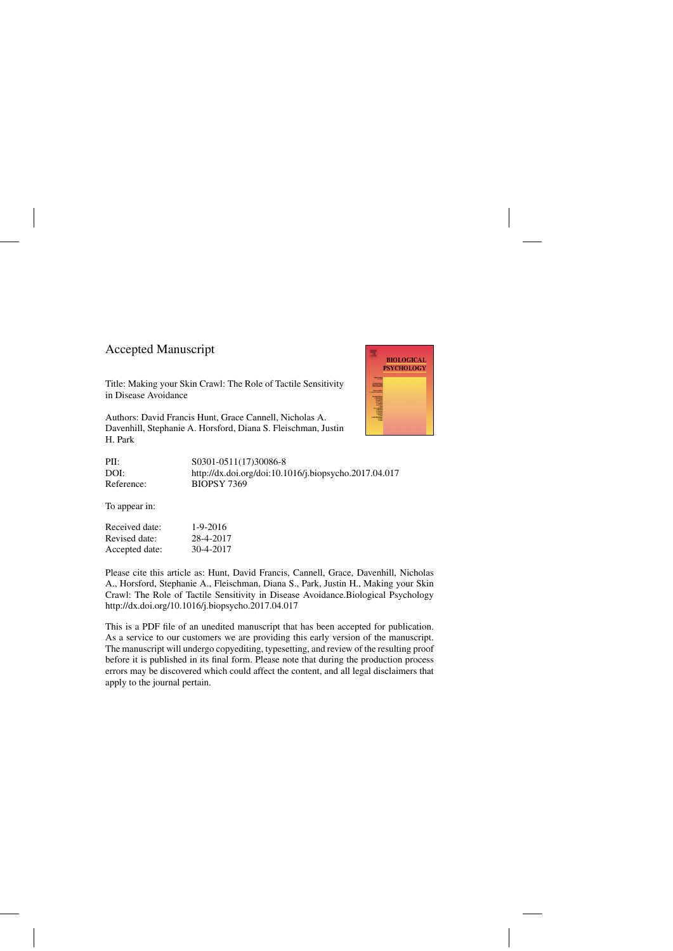### Accepted Manuscript



Title: Making your Skin Crawl: The Role of Tactile Sensitivity in Disease Avoidance

Authors: David Francis Hunt, Grace Cannell, Nicholas A. Davenhill, Stephanie A. Horsford, Diana S. Fleischman, Justin H. Park

PII: S0301-0511(17)30086-8 DOI:<http://dx.doi.org/doi:10.1016/j.biopsycho.2017.04.017> Reference: BIOPSY 7369

To appear in:

| Received date: | $1-9-2016$ |
|----------------|------------|
| Revised date:  | 28-4-2017  |
| Accepted date: | 30-4-2017  |

Please cite this article as: Hunt, David Francis, Cannell, Grace, Davenhill, Nicholas A., Horsford, Stephanie A., Fleischman, Diana S., Park, Justin H., Making your Skin Crawl: The Role of Tactile Sensitivity in Disease Avoidance.Biological Psychology <http://dx.doi.org/10.1016/j.biopsycho.2017.04.017>

This is a PDF file of an unedited manuscript that has been accepted for publication. As a service to our customers we are providing this early version of the manuscript. The manuscript will undergo copyediting, typesetting, and review of the resulting proof before it is published in its final form. Please note that during the production process errors may be discovered which could affect the content, and all legal disclaimers that apply to the journal pertain.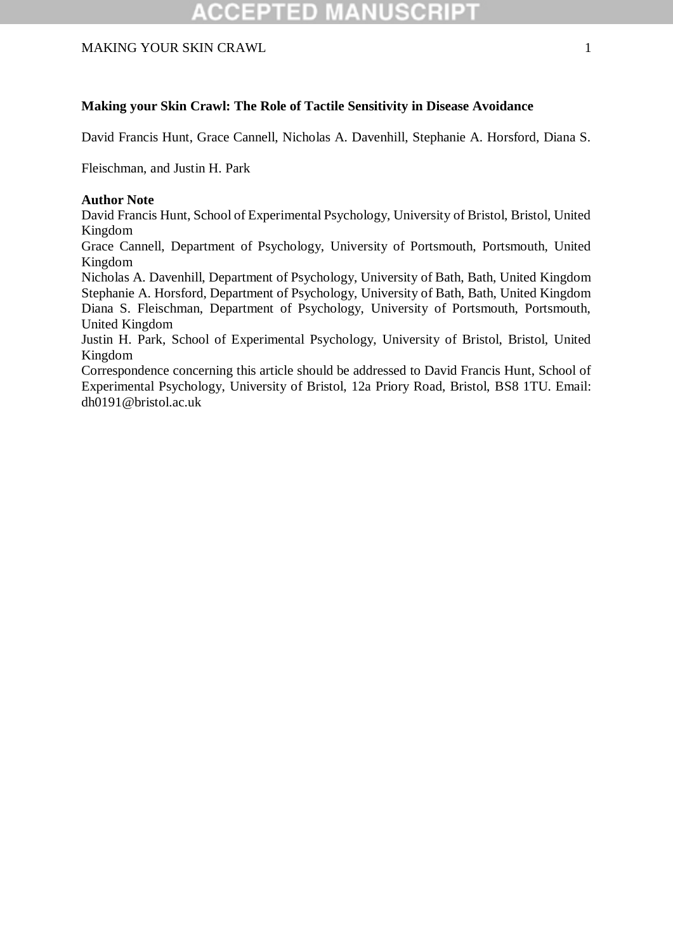#### MAKING YOUR SKIN CRAWL 1

#### **Making your Skin Crawl: The Role of Tactile Sensitivity in Disease Avoidance**

David Francis Hunt, Grace Cannell, Nicholas A. Davenhill, Stephanie A. Horsford, Diana S.

Fleischman, and Justin H. Park

#### **Author Note**

David Francis Hunt, School of Experimental Psychology, University of Bristol, Bristol, United Kingdom

Grace Cannell, Department of Psychology, University of Portsmouth, Portsmouth, United Kingdom

Nicholas A. Davenhill, Department of Psychology, University of Bath, Bath, United Kingdom Stephanie A. Horsford, Department of Psychology, University of Bath, Bath, United Kingdom Diana S. Fleischman, Department of Psychology, University of Portsmouth, Portsmouth, United Kingdom

Justin H. Park, School of Experimental Psychology, University of Bristol, Bristol, United Kingdom

Correspondence concerning this article should be addressed to David Francis Hunt, School of Experimental Psychology, University of Bristol, 12a Priory Road, Bristol, BS8 1TU. Email: dh0191@bristol.ac.uk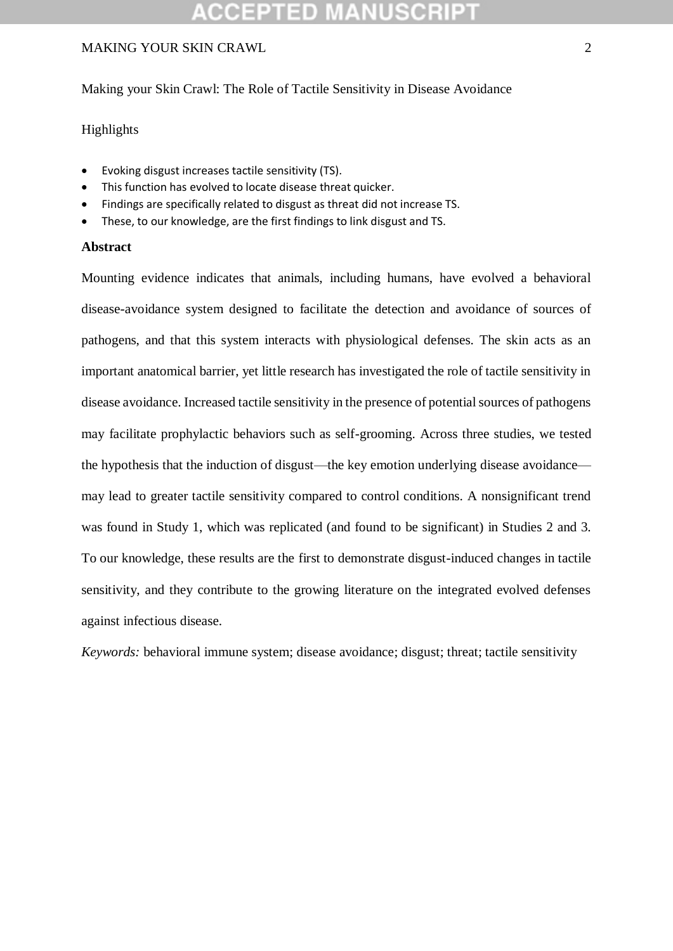Making your Skin Crawl: The Role of Tactile Sensitivity in Disease Avoidance

#### Highlights

- Evoking disgust increases tactile sensitivity (TS).
- This function has evolved to locate disease threat quicker.
- Findings are specifically related to disgust as threat did not increase TS.
- These, to our knowledge, are the first findings to link disgust and TS.

#### **Abstract**

Mounting evidence indicates that animals, including humans, have evolved a behavioral disease-avoidance system designed to facilitate the detection and avoidance of sources of pathogens, and that this system interacts with physiological defenses. The skin acts as an important anatomical barrier, yet little research has investigated the role of tactile sensitivity in disease avoidance. Increased tactile sensitivity in the presence of potential sources of pathogens may facilitate prophylactic behaviors such as self-grooming. Across three studies, we tested the hypothesis that the induction of disgust—the key emotion underlying disease avoidance may lead to greater tactile sensitivity compared to control conditions. A nonsignificant trend was found in Study 1, which was replicated (and found to be significant) in Studies 2 and 3. To our knowledge, these results are the first to demonstrate disgust-induced changes in tactile sensitivity, and they contribute to the growing literature on the integrated evolved defenses against infectious disease.

*Keywords:* behavioral immune system; disease avoidance; disgust; threat; tactile sensitivity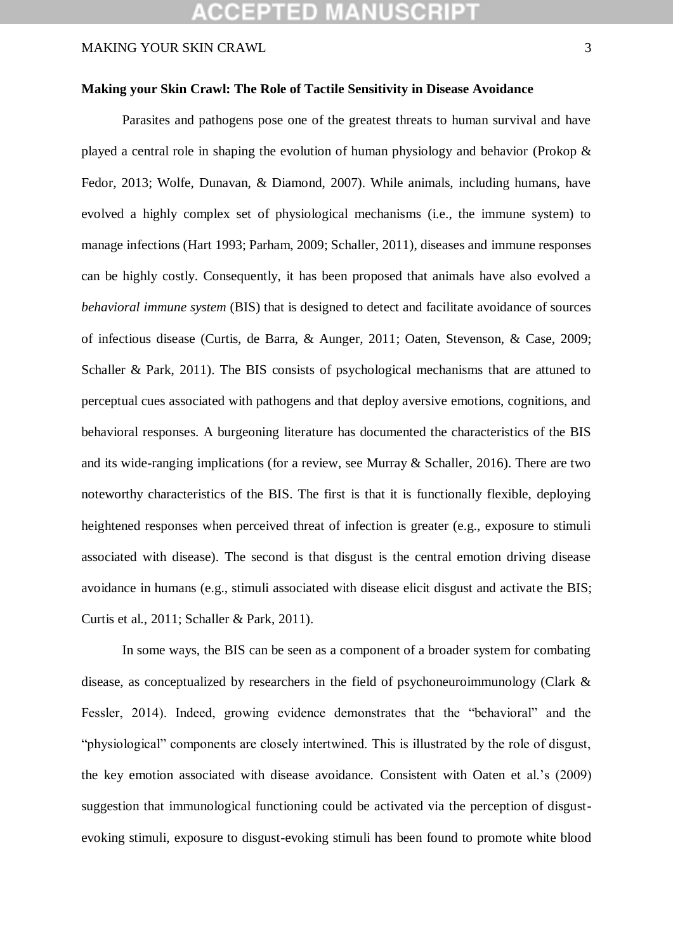## ICEPTED M

#### MAKING YOUR SKIN CRAWL 3

#### **Making your Skin Crawl: The Role of Tactile Sensitivity in Disease Avoidance**

Parasites and pathogens pose one of the greatest threats to human survival and have played a central role in shaping the evolution of human physiology and behavior (Prokop & Fedor, 2013; Wolfe, Dunavan, & Diamond, 2007). While animals, including humans, have evolved a highly complex set of physiological mechanisms (i.e., the immune system) to manage infections (Hart 1993; Parham, 2009; Schaller, 2011), diseases and immune responses can be highly costly. Consequently, it has been proposed that animals have also evolved a *behavioral immune system* (BIS) that is designed to detect and facilitate avoidance of sources of infectious disease (Curtis, de Barra, & Aunger, 2011; Oaten, Stevenson, & Case, 2009; Schaller & Park, 2011). The BIS consists of psychological mechanisms that are attuned to perceptual cues associated with pathogens and that deploy aversive emotions, cognitions, and behavioral responses. A burgeoning literature has documented the characteristics of the BIS and its wide-ranging implications (for a review, see Murray & Schaller, 2016). There are two noteworthy characteristics of the BIS. The first is that it is functionally flexible, deploying heightened responses when perceived threat of infection is greater (e.g., exposure to stimuli associated with disease). The second is that disgust is the central emotion driving disease avoidance in humans (e.g., stimuli associated with disease elicit disgust and activate the BIS; Curtis et al., 2011; Schaller & Park, 2011).

In some ways, the BIS can be seen as a component of a broader system for combating disease, as conceptualized by researchers in the field of psychoneuroimmunology (Clark & Fessler, 2014). Indeed, growing evidence demonstrates that the "behavioral" and the "physiological" components are closely intertwined. This is illustrated by the role of disgust, the key emotion associated with disease avoidance. Consistent with Oaten et al.'s (2009) suggestion that immunological functioning could be activated via the perception of disgustevoking stimuli, exposure to disgust-evoking stimuli has been found to promote white blood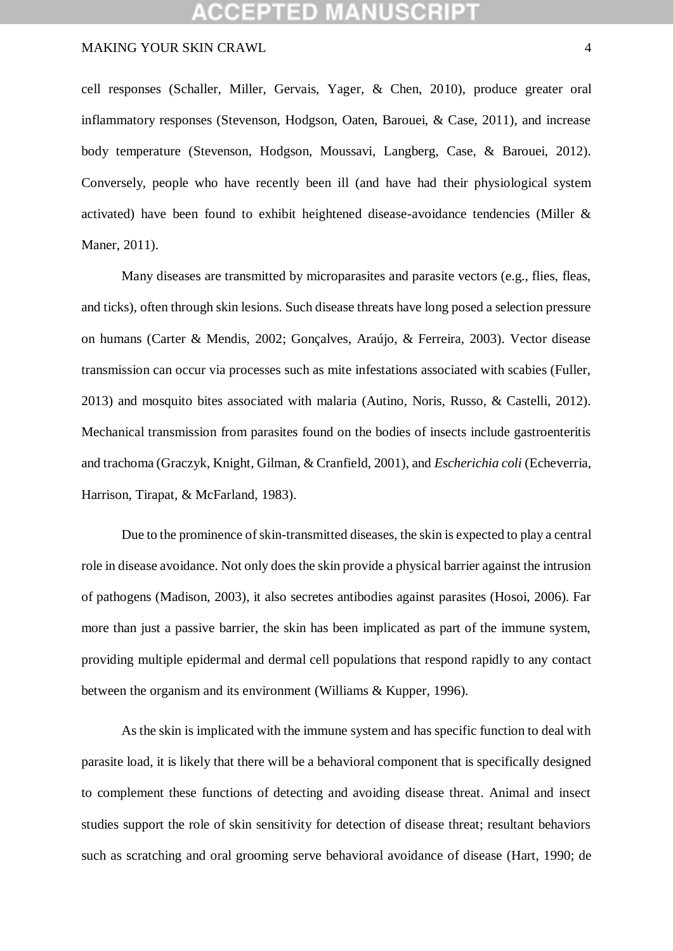#### MAKING YOUR SKIN CRAWL 4

cell responses (Schaller, Miller, Gervais, Yager, & Chen, 2010), produce greater oral inflammatory responses (Stevenson, Hodgson, Oaten, Barouei, & Case, 2011), and increase body temperature (Stevenson, Hodgson, Moussavi, Langberg, Case, & Barouei, 2012). Conversely, people who have recently been ill (and have had their physiological system activated) have been found to exhibit heightened disease-avoidance tendencies (Miller & Maner, 2011).

Many diseases are transmitted by microparasites and parasite vectors (e.g., flies, fleas, and ticks), often through skin lesions. Such disease threats have long posed a selection pressure on humans (Carter & Mendis, 2002; Gonçalves, Araújo, & Ferreira, 2003). Vector disease transmission can occur via processes such as mite infestations associated with scabies (Fuller, 2013) and mosquito bites associated with malaria (Autino, Noris, Russo, & Castelli, 2012). Mechanical transmission from parasites found on the bodies of insects include gastroenteritis and trachoma (Graczyk, Knight, Gilman, & Cranfield, 2001), and *Escherichia coli* (Echeverria, Harrison, Tirapat, & McFarland, 1983).

Due to the prominence of skin-transmitted diseases, the skin is expected to play a central role in disease avoidance. Not only does the skin provide a physical barrier against the intrusion of pathogens (Madison, 2003), it also secretes antibodies against parasites (Hosoi, 2006). Far more than just a passive barrier, the skin has been implicated as part of the immune system, providing multiple epidermal and dermal cell populations that respond rapidly to any contact between the organism and its environment (Williams & Kupper, 1996).

As the skin is implicated with the immune system and has specific function to deal with parasite load, it is likely that there will be a behavioral component that is specifically designed to complement these functions of detecting and avoiding disease threat. Animal and insect studies support the role of skin sensitivity for detection of disease threat; resultant behaviors such as scratching and oral grooming serve behavioral avoidance of disease (Hart, 1990; de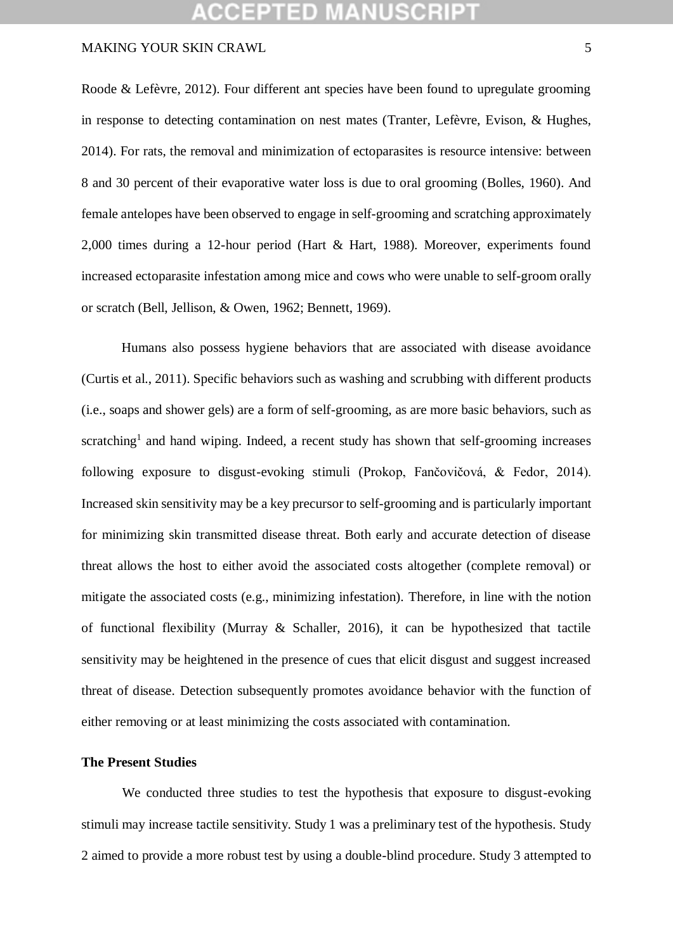### CEPTED M:

#### MAKING YOUR SKIN CRAWL 5

Roode & Lefèvre, 2012). Four different ant species have been found to upregulate grooming in response to detecting contamination on nest mates (Tranter, Lefèvre, Evison, & Hughes, 2014). For rats, the removal and minimization of ectoparasites is resource intensive: between 8 and 30 percent of their evaporative water loss is due to oral grooming (Bolles, 1960). And female antelopes have been observed to engage in self-grooming and scratching approximately 2,000 times during a 12-hour period (Hart & Hart, 1988). Moreover, experiments found increased ectoparasite infestation among mice and cows who were unable to self-groom orally or scratch (Bell, Jellison, & Owen, 1962; Bennett, 1969).

Humans also possess hygiene behaviors that are associated with disease avoidance (Curtis et al., 2011). Specific behaviors such as washing and scrubbing with different products (i.e., soaps and shower gels) are a form of self-grooming, as are more basic behaviors, such as scratching<sup>1</sup> and hand wiping. Indeed, a recent study has shown that self-grooming increases following exposure to disgust-evoking stimuli (Prokop, Fančovičová, & Fedor, 2014). Increased skin sensitivity may be a key precursor to self-grooming and is particularly important for minimizing skin transmitted disease threat. Both early and accurate detection of disease threat allows the host to either avoid the associated costs altogether (complete removal) or mitigate the associated costs (e.g., minimizing infestation). Therefore, in line with the notion of functional flexibility (Murray & Schaller, 2016), it can be hypothesized that tactile sensitivity may be heightened in the presence of cues that elicit disgust and suggest increased threat of disease. Detection subsequently promotes avoidance behavior with the function of either removing or at least minimizing the costs associated with contamination.

#### **The Present Studies**

We conducted three studies to test the hypothesis that exposure to disgust-evoking stimuli may increase tactile sensitivity. Study 1 was a preliminary test of the hypothesis. Study 2 aimed to provide a more robust test by using a double-blind procedure. Study 3 attempted to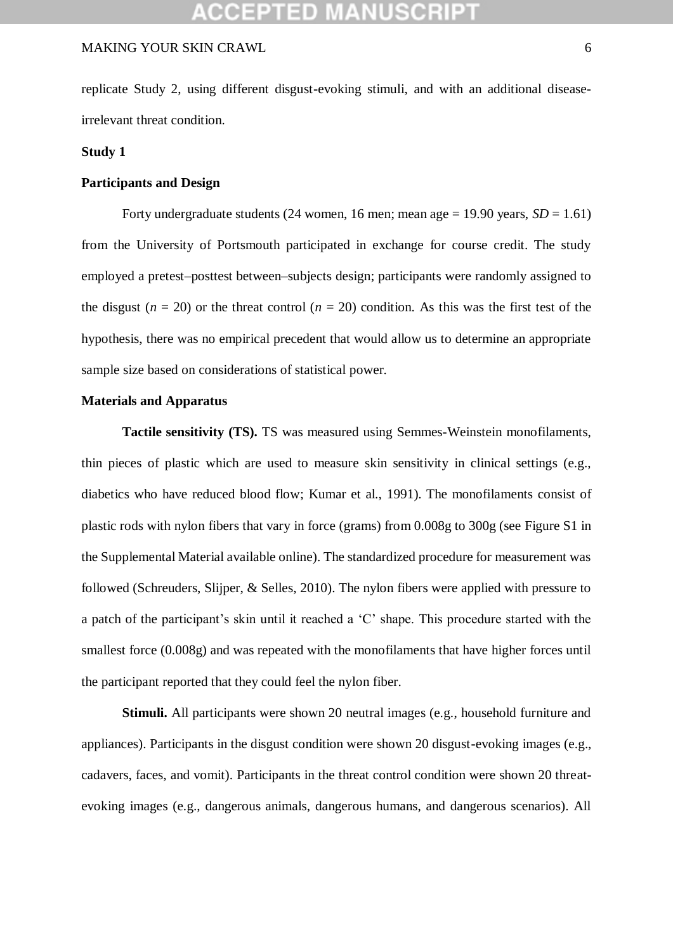#### MAKING YOUR SKIN CRAWL 6

replicate Study 2, using different disgust-evoking stimuli, and with an additional diseaseirrelevant threat condition.

#### **Study 1**

#### **Participants and Design**

Forty undergraduate students (24 women, 16 men; mean age  $= 19.90$  years,  $SD = 1.61$ ) from the University of Portsmouth participated in exchange for course credit. The study employed a pretest–posttest between–subjects design; participants were randomly assigned to the disgust  $(n = 20)$  or the threat control  $(n = 20)$  condition. As this was the first test of the hypothesis, there was no empirical precedent that would allow us to determine an appropriate sample size based on considerations of statistical power.

#### **Materials and Apparatus**

**Tactile sensitivity (TS).** TS was measured using Semmes-Weinstein monofilaments, thin pieces of plastic which are used to measure skin sensitivity in clinical settings (e.g., diabetics who have reduced blood flow; Kumar et al., 1991). The monofilaments consist of plastic rods with nylon fibers that vary in force (grams) from 0.008g to 300g (see Figure S1 in the Supplemental Material available online). The standardized procedure for measurement was followed (Schreuders, Slijper, & Selles, 2010). The nylon fibers were applied with pressure to a patch of the participant's skin until it reached a 'C' shape. This procedure started with the smallest force (0.008g) and was repeated with the monofilaments that have higher forces until the participant reported that they could feel the nylon fiber.

**Stimuli.** All participants were shown 20 neutral images (e.g., household furniture and appliances). Participants in the disgust condition were shown 20 disgust-evoking images (e.g., cadavers, faces, and vomit). Participants in the threat control condition were shown 20 threatevoking images (e.g., dangerous animals, dangerous humans, and dangerous scenarios). All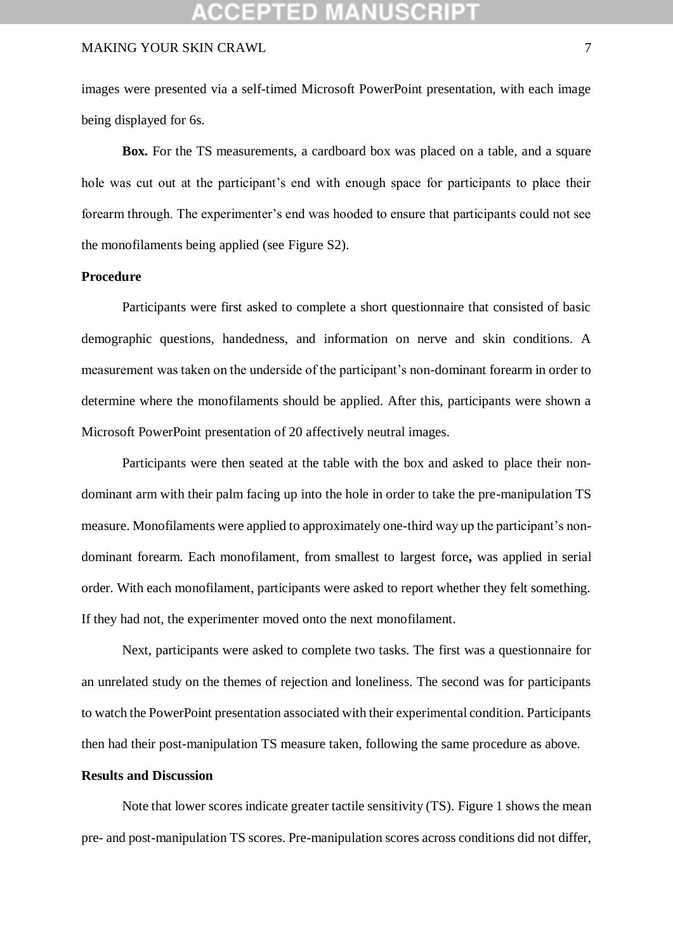### **CCEPTED MANUSCR**

#### MAKING YOUR SKIN CRAWL 7

images were presented via a self-timed Microsoft PowerPoint presentation, with each image being displayed for 6s.

**Box.** For the TS measurements, a cardboard box was placed on a table, and a square hole was cut out at the participant's end with enough space for participants to place their forearm through. The experimenter's end was hooded to ensure that participants could not see the monofilaments being applied (see Figure S2).

#### **Procedure**

Participants were first asked to complete a short questionnaire that consisted of basic demographic questions, handedness, and information on nerve and skin conditions. A measurement was taken on the underside of the participant's non-dominant forearm in order to determine where the monofilaments should be applied. After this, participants were shown a Microsoft PowerPoint presentation of 20 affectively neutral images.

Participants were then seated at the table with the box and asked to place their nondominant arm with their palm facing up into the hole in order to take the pre-manipulation TS measure. Monofilaments were applied to approximately one-third way up the participant's nondominant forearm. Each monofilament, from smallest to largest force**,** was applied in serial order. With each monofilament, participants were asked to report whether they felt something. If they had not, the experimenter moved onto the next monofilament.

Next, participants were asked to complete two tasks. The first was a questionnaire for an unrelated study on the themes of rejection and loneliness. The second was for participants to watch the PowerPoint presentation associated with their experimental condition. Participants then had their post-manipulation TS measure taken, following the same procedure as above.

#### **Results and Discussion**

Note that lower scores indicate greater tactile sensitivity (TS). Figure 1 shows the mean pre- and post-manipulation TS scores. Pre-manipulation scores across conditions did not differ,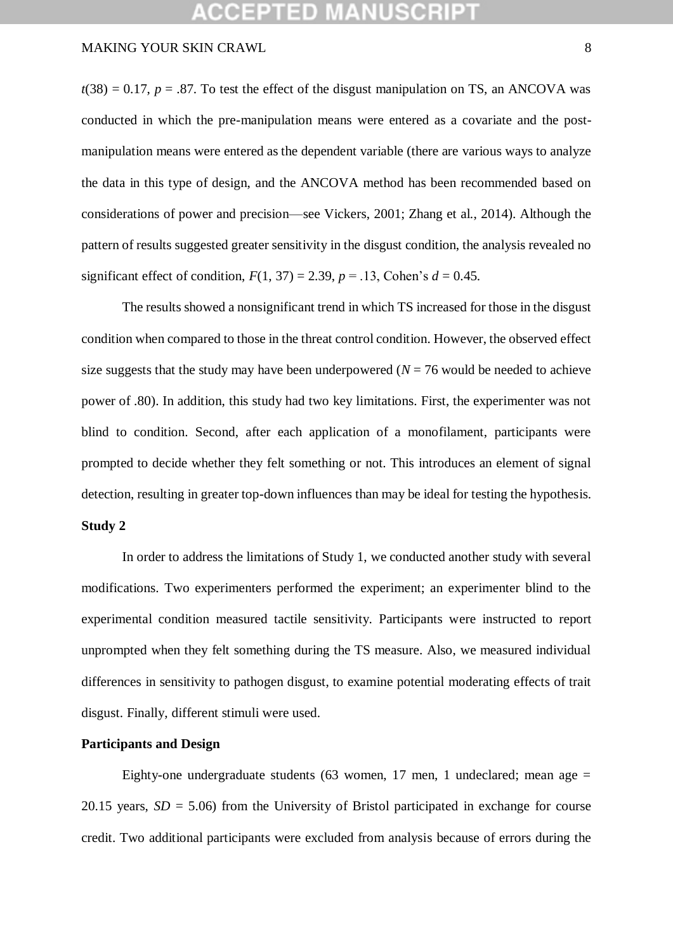### **CCEPTED MANUSCR**

#### MAKING YOUR SKIN CRAWL 8

 $t(38) = 0.17$ ,  $p = .87$ . To test the effect of the disgust manipulation on TS, an ANCOVA was conducted in which the pre-manipulation means were entered as a covariate and the postmanipulation means were entered as the dependent variable (there are various ways to analyze the data in this type of design, and the ANCOVA method has been recommended based on considerations of power and precision—see Vickers, 2001; Zhang et al., 2014). Although the pattern of results suggested greater sensitivity in the disgust condition, the analysis revealed no significant effect of condition,  $F(1, 37) = 2.39$ ,  $p = .13$ , Cohen's  $d = 0.45$ .

The results showed a nonsignificant trend in which TS increased for those in the disgust condition when compared to those in the threat control condition. However, the observed effect size suggests that the study may have been underpowered ( $N = 76$  would be needed to achieve power of .80). In addition, this study had two key limitations. First, the experimenter was not blind to condition. Second, after each application of a monofilament, participants were prompted to decide whether they felt something or not. This introduces an element of signal detection, resulting in greater top-down influences than may be ideal for testing the hypothesis. **Study 2**

In order to address the limitations of Study 1, we conducted another study with several modifications. Two experimenters performed the experiment; an experimenter blind to the experimental condition measured tactile sensitivity. Participants were instructed to report unprompted when they felt something during the TS measure. Also, we measured individual differences in sensitivity to pathogen disgust, to examine potential moderating effects of trait disgust. Finally, different stimuli were used.

#### **Participants and Design**

Eighty-one undergraduate students (63 women, 17 men, 1 undeclared; mean age  $=$ 20.15 years,  $SD = 5.06$ ) from the University of Bristol participated in exchange for course credit. Two additional participants were excluded from analysis because of errors during the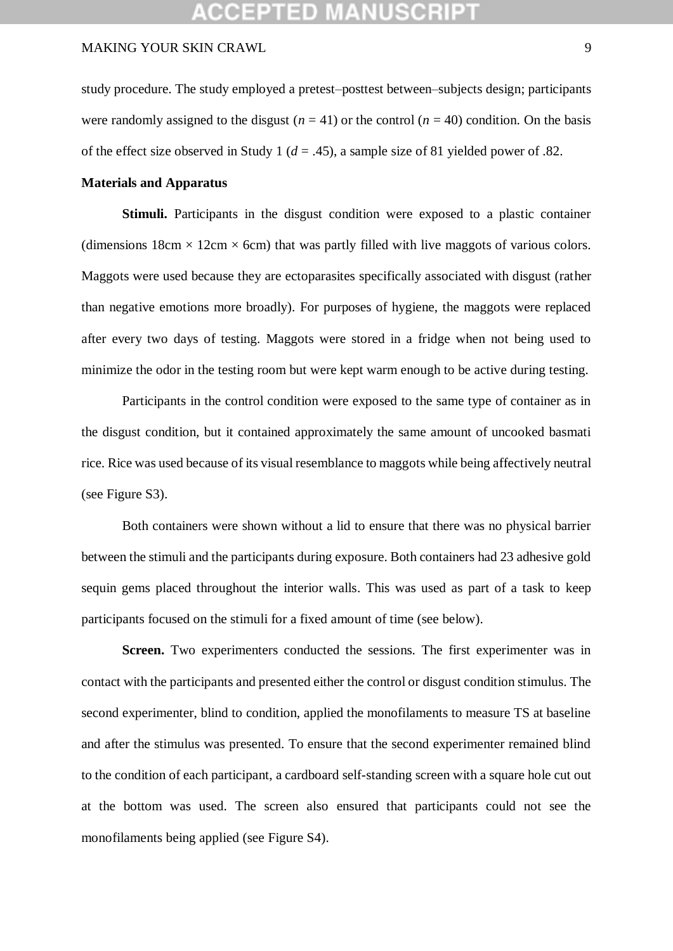study procedure. The study employed a pretest–posttest between–subjects design; participants were randomly assigned to the disgust  $(n = 41)$  or the control  $(n = 40)$  condition. On the basis of the effect size observed in Study 1 (*d* = .45), a sample size of 81 yielded power of .82.

#### **Materials and Apparatus**

**Stimuli.** Participants in the disgust condition were exposed to a plastic container (dimensions  $18 \text{cm} \times 12 \text{cm} \times 6 \text{cm}$ ) that was partly filled with live maggots of various colors. Maggots were used because they are ectoparasites specifically associated with disgust (rather than negative emotions more broadly). For purposes of hygiene, the maggots were replaced after every two days of testing. Maggots were stored in a fridge when not being used to minimize the odor in the testing room but were kept warm enough to be active during testing.

Participants in the control condition were exposed to the same type of container as in the disgust condition, but it contained approximately the same amount of uncooked basmati rice. Rice was used because of its visual resemblance to maggots while being affectively neutral (see Figure S3).

Both containers were shown without a lid to ensure that there was no physical barrier between the stimuli and the participants during exposure. Both containers had 23 adhesive gold sequin gems placed throughout the interior walls. This was used as part of a task to keep participants focused on the stimuli for a fixed amount of time (see below).

**Screen.** Two experimenters conducted the sessions. The first experimenter was in contact with the participants and presented either the control or disgust condition stimulus. The second experimenter, blind to condition, applied the monofilaments to measure TS at baseline and after the stimulus was presented. To ensure that the second experimenter remained blind to the condition of each participant, a cardboard self-standing screen with a square hole cut out at the bottom was used. The screen also ensured that participants could not see the monofilaments being applied (see Figure S4).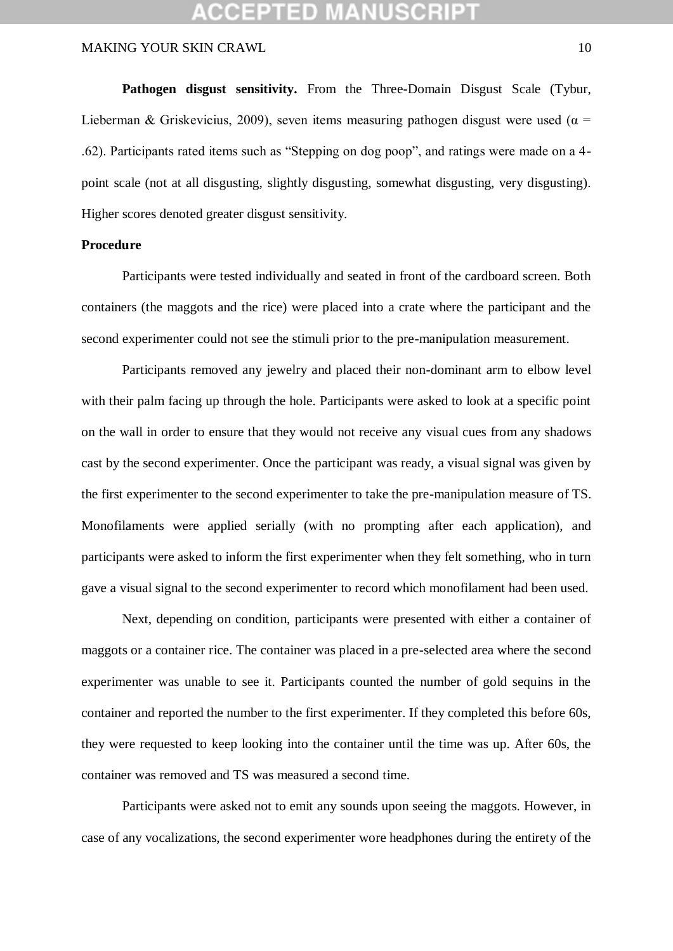### :CEPTED M

#### MAKING YOUR SKIN CRAWL 10

Pathogen disgust sensitivity. From the Three-Domain Disgust Scale (Tybur, Lieberman & Griskevicius, 2009), seven items measuring pathogen disgust were used ( $\alpha$  = .62). Participants rated items such as "Stepping on dog poop", and ratings were made on a 4 point scale (not at all disgusting, slightly disgusting, somewhat disgusting, very disgusting). Higher scores denoted greater disgust sensitivity.

#### **Procedure**

Participants were tested individually and seated in front of the cardboard screen. Both containers (the maggots and the rice) were placed into a crate where the participant and the second experimenter could not see the stimuli prior to the pre-manipulation measurement.

Participants removed any jewelry and placed their non-dominant arm to elbow level with their palm facing up through the hole. Participants were asked to look at a specific point on the wall in order to ensure that they would not receive any visual cues from any shadows cast by the second experimenter. Once the participant was ready, a visual signal was given by the first experimenter to the second experimenter to take the pre-manipulation measure of TS. Monofilaments were applied serially (with no prompting after each application), and participants were asked to inform the first experimenter when they felt something, who in turn gave a visual signal to the second experimenter to record which monofilament had been used.

Next, depending on condition, participants were presented with either a container of maggots or a container rice. The container was placed in a pre-selected area where the second experimenter was unable to see it. Participants counted the number of gold sequins in the container and reported the number to the first experimenter. If they completed this before 60s, they were requested to keep looking into the container until the time was up. After 60s, the container was removed and TS was measured a second time.

Participants were asked not to emit any sounds upon seeing the maggots. However, in case of any vocalizations, the second experimenter wore headphones during the entirety of the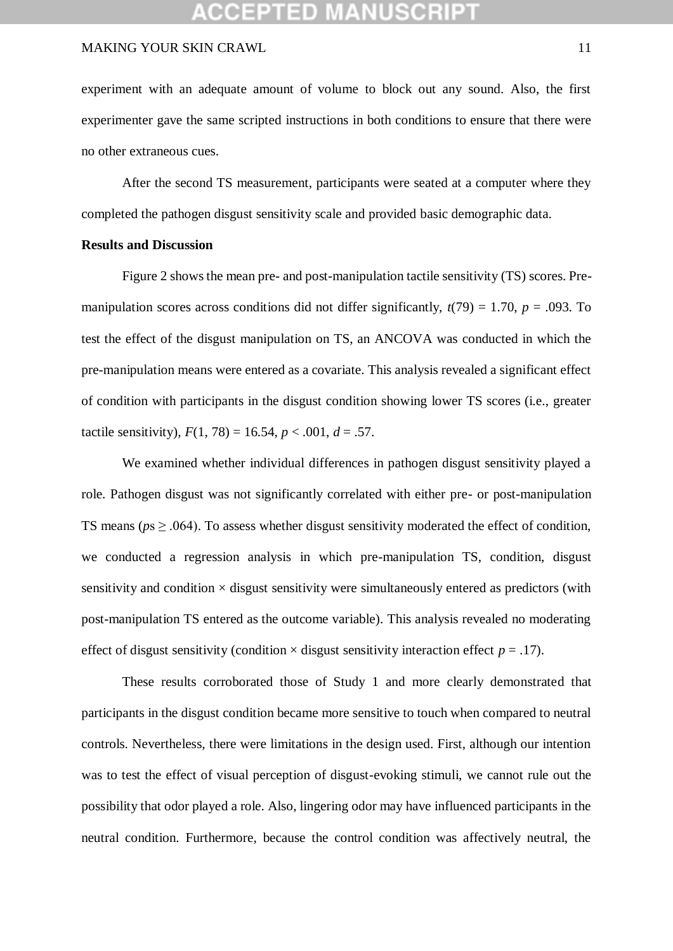### GEPTED

#### MAKING YOUR SKIN CRAWL 11

experiment with an adequate amount of volume to block out any sound. Also, the first experimenter gave the same scripted instructions in both conditions to ensure that there were no other extraneous cues.

After the second TS measurement, participants were seated at a computer where they completed the pathogen disgust sensitivity scale and provided basic demographic data.

#### **Results and Discussion**

Figure 2 shows the mean pre- and post-manipulation tactile sensitivity (TS) scores. Premanipulation scores across conditions did not differ significantly,  $t(79) = 1.70$ ,  $p = .093$ . To test the effect of the disgust manipulation on TS, an ANCOVA was conducted in which the pre-manipulation means were entered as a covariate. This analysis revealed a significant effect of condition with participants in the disgust condition showing lower TS scores (i.e., greater tactile sensitivity),  $F(1, 78) = 16.54$ ,  $p < .001$ ,  $d = .57$ .

We examined whether individual differences in pathogen disgust sensitivity played a role. Pathogen disgust was not significantly correlated with either pre- or post-manipulation TS means ( $ps > .064$ ). To assess whether disgust sensitivity moderated the effect of condition, we conducted a regression analysis in which pre-manipulation TS, condition, disgust sensitivity and condition  $\times$  disgust sensitivity were simultaneously entered as predictors (with post-manipulation TS entered as the outcome variable). This analysis revealed no moderating effect of disgust sensitivity (condition  $\times$  disgust sensitivity interaction effect  $p = .17$ ).

These results corroborated those of Study 1 and more clearly demonstrated that participants in the disgust condition became more sensitive to touch when compared to neutral controls. Nevertheless, there were limitations in the design used. First, although our intention was to test the effect of visual perception of disgust-evoking stimuli, we cannot rule out the possibility that odor played a role. Also, lingering odor may have influenced participants in the neutral condition. Furthermore, because the control condition was affectively neutral, the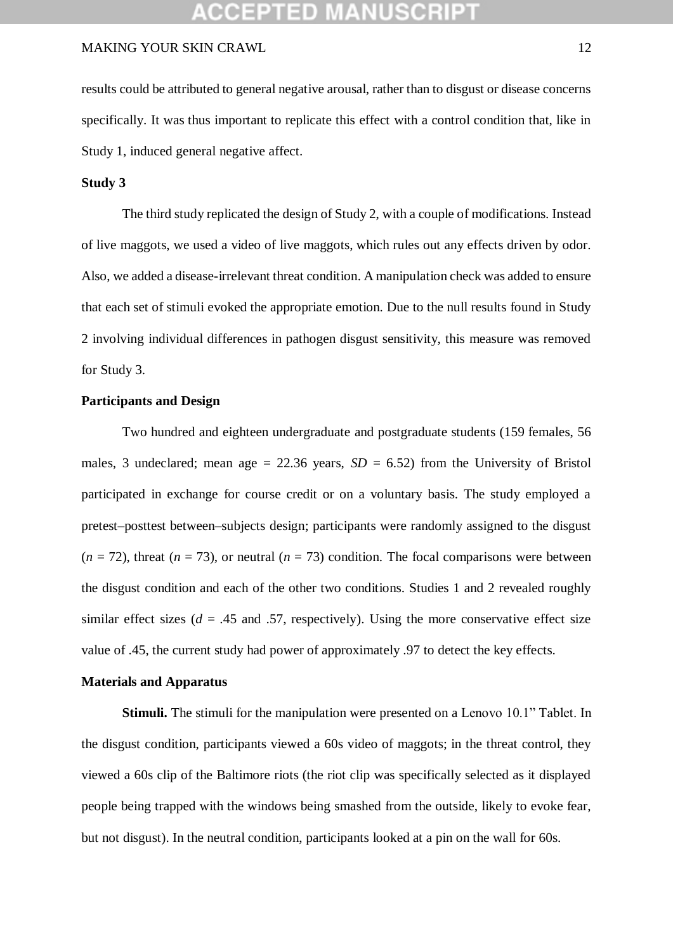#### MAKING YOUR SKIN CRAWL 12

results could be attributed to general negative arousal, rather than to disgust or disease concerns specifically. It was thus important to replicate this effect with a control condition that, like in Study 1, induced general negative affect.

#### **Study 3**

The third study replicated the design of Study 2, with a couple of modifications. Instead of live maggots, we used a video of live maggots, which rules out any effects driven by odor. Also, we added a disease-irrelevant threat condition. A manipulation check was added to ensure that each set of stimuli evoked the appropriate emotion. Due to the null results found in Study 2 involving individual differences in pathogen disgust sensitivity, this measure was removed for Study 3.

#### **Participants and Design**

Two hundred and eighteen undergraduate and postgraduate students (159 females, 56 males, 3 undeclared; mean age =  $22.36$  years,  $SD = 6.52$ ) from the University of Bristol participated in exchange for course credit or on a voluntary basis. The study employed a pretest–posttest between–subjects design; participants were randomly assigned to the disgust  $(n = 72)$ , threat  $(n = 73)$ , or neutral  $(n = 73)$  condition. The focal comparisons were between the disgust condition and each of the other two conditions. Studies 1 and 2 revealed roughly similar effect sizes ( $d = .45$  and .57, respectively). Using the more conservative effect size value of .45, the current study had power of approximately .97 to detect the key effects.

#### **Materials and Apparatus**

**Stimuli.** The stimuli for the manipulation were presented on a Lenovo 10.1" Tablet. In the disgust condition, participants viewed a 60s video of maggots; in the threat control, they viewed a 60s clip of the Baltimore riots (the riot clip was specifically selected as it displayed people being trapped with the windows being smashed from the outside, likely to evoke fear, but not disgust). In the neutral condition, participants looked at a pin on the wall for 60s.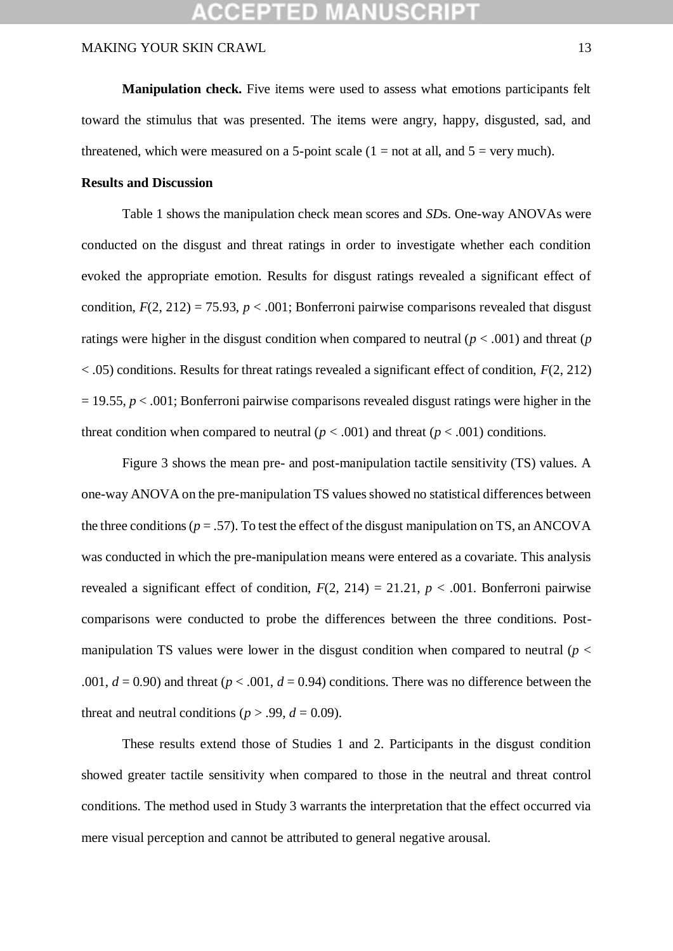#### MAKING YOUR SKIN CRAWL 13

**Manipulation check.** Five items were used to assess what emotions participants felt toward the stimulus that was presented. The items were angry, happy, disgusted, sad, and threatened, which were measured on a 5-point scale  $(1 = not at all, and 5 = very much)$ .

#### **Results and Discussion**

Table 1 shows the manipulation check mean scores and *SD*s. One-way ANOVAs were conducted on the disgust and threat ratings in order to investigate whether each condition evoked the appropriate emotion. Results for disgust ratings revealed a significant effect of condition,  $F(2, 212) = 75.93$ ,  $p < .001$ ; Bonferroni pairwise comparisons revealed that disgust ratings were higher in the disgust condition when compared to neutral ( $p < .001$ ) and threat ( $p$ < .05) conditions. Results for threat ratings revealed a significant effect of condition, *F*(2, 212)  $= 19.55$ ,  $p < .001$ ; Bonferroni pairwise comparisons revealed disgust ratings were higher in the threat condition when compared to neutral ( $p < .001$ ) and threat ( $p < .001$ ) conditions.

Figure 3 shows the mean pre- and post-manipulation tactile sensitivity (TS) values. A one-way ANOVA on the pre-manipulation TS values showed no statistical differences between the three conditions ( $p = .57$ ). To test the effect of the disgust manipulation on TS, an ANCOVA was conducted in which the pre-manipulation means were entered as a covariate. This analysis revealed a significant effect of condition,  $F(2, 214) = 21.21$ ,  $p < .001$ . Bonferroni pairwise comparisons were conducted to probe the differences between the three conditions. Postmanipulation TS values were lower in the disgust condition when compared to neutral ( $p <$ .001,  $d = 0.90$ ) and threat ( $p < .001$ ,  $d = 0.94$ ) conditions. There was no difference between the threat and neutral conditions ( $p > .99$ ,  $d = 0.09$ ).

These results extend those of Studies 1 and 2. Participants in the disgust condition showed greater tactile sensitivity when compared to those in the neutral and threat control conditions. The method used in Study 3 warrants the interpretation that the effect occurred via mere visual perception and cannot be attributed to general negative arousal.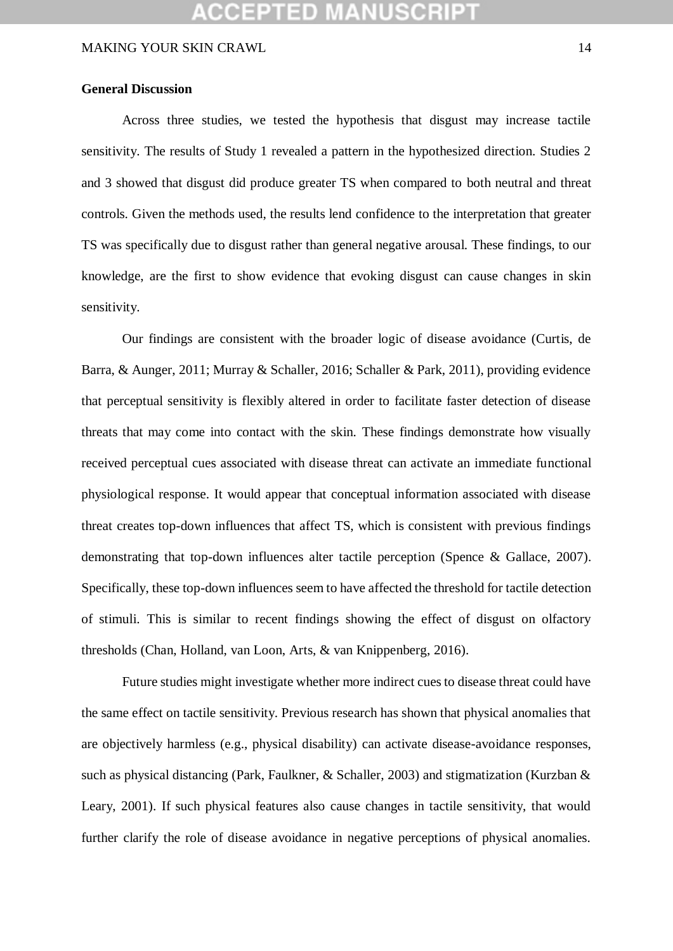### GEPTED

#### MAKING YOUR SKIN CRAWL 14

#### **General Discussion**

Across three studies, we tested the hypothesis that disgust may increase tactile sensitivity. The results of Study 1 revealed a pattern in the hypothesized direction. Studies 2 and 3 showed that disgust did produce greater TS when compared to both neutral and threat controls. Given the methods used, the results lend confidence to the interpretation that greater TS was specifically due to disgust rather than general negative arousal. These findings, to our knowledge, are the first to show evidence that evoking disgust can cause changes in skin sensitivity.

Our findings are consistent with the broader logic of disease avoidance (Curtis, de Barra, & Aunger, 2011; Murray & Schaller, 2016; Schaller & Park, 2011), providing evidence that perceptual sensitivity is flexibly altered in order to facilitate faster detection of disease threats that may come into contact with the skin. These findings demonstrate how visually received perceptual cues associated with disease threat can activate an immediate functional physiological response. It would appear that conceptual information associated with disease threat creates top-down influences that affect TS, which is consistent with previous findings demonstrating that top-down influences alter tactile perception (Spence & Gallace, 2007). Specifically, these top-down influences seem to have affected the threshold for tactile detection of stimuli. This is similar to recent findings showing the effect of disgust on olfactory thresholds (Chan, Holland, van Loon, Arts, & van Knippenberg, 2016).

Future studies might investigate whether more indirect cues to disease threat could have the same effect on tactile sensitivity. Previous research has shown that physical anomalies that are objectively harmless (e.g., physical disability) can activate disease-avoidance responses, such as physical distancing (Park, Faulkner, & Schaller, 2003) and stigmatization (Kurzban & Leary, 2001). If such physical features also cause changes in tactile sensitivity, that would further clarify the role of disease avoidance in negative perceptions of physical anomalies.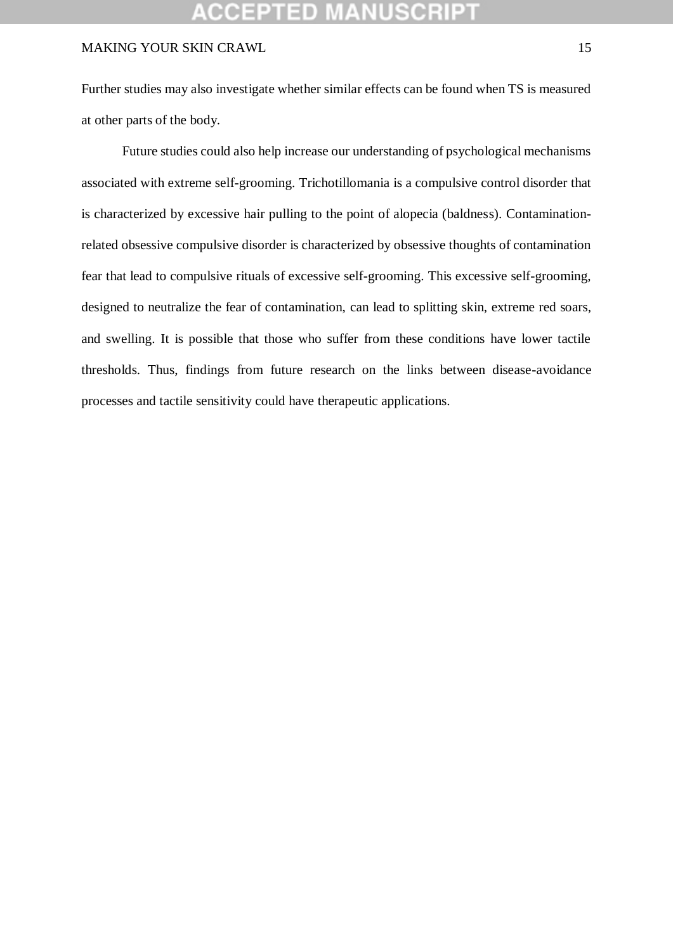#### MAKING YOUR SKIN CRAWL 15

Further studies may also investigate whether similar effects can be found when TS is measured at other parts of the body.

Future studies could also help increase our understanding of psychological mechanisms associated with extreme self-grooming. Trichotillomania is a compulsive control disorder that is characterized by excessive hair pulling to the point of alopecia (baldness). Contaminationrelated obsessive compulsive disorder is characterized by obsessive thoughts of contamination fear that lead to compulsive rituals of excessive self-grooming. This excessive self-grooming, designed to neutralize the fear of contamination, can lead to splitting skin, extreme red soars, and swelling. It is possible that those who suffer from these conditions have lower tactile thresholds. Thus, findings from future research on the links between disease-avoidance processes and tactile sensitivity could have therapeutic applications.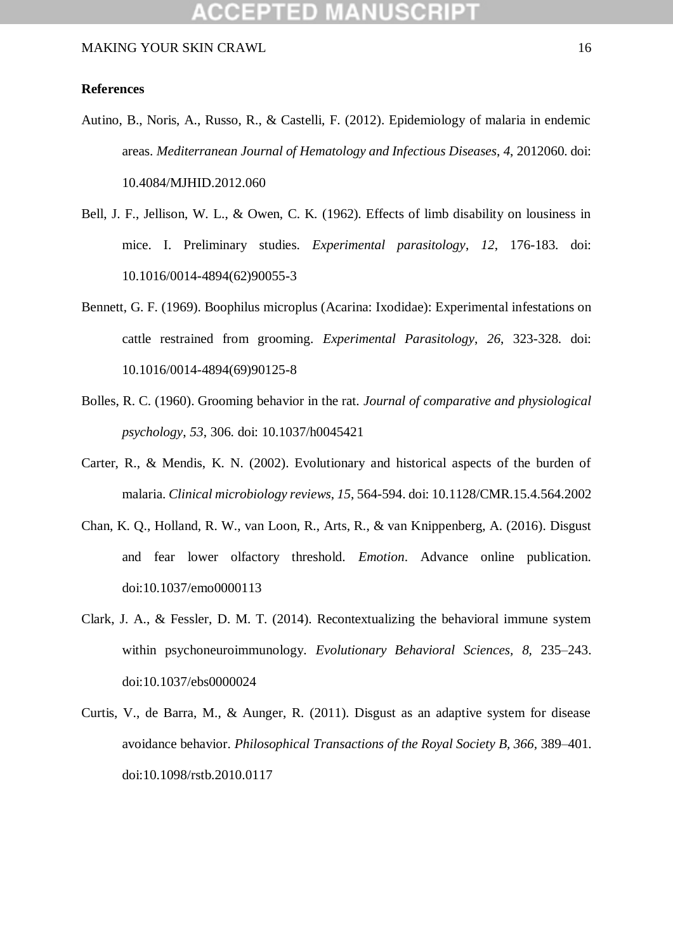#### **References**

- Autino, B., Noris, A., Russo, R., & Castelli, F. (2012). Epidemiology of malaria in endemic areas. *Mediterranean Journal of Hematology and Infectious Diseases*, *4*, 2012060. doi: 10.4084/MJHID.2012.060
- Bell, J. F., Jellison, W. L., & Owen, C. K. (1962). Effects of limb disability on lousiness in mice. I. Preliminary studies. *Experimental parasitology*, *12*, 176-183. doi: 10.1016/0014-4894(62)90055-3
- Bennett, G. F. (1969). Boophilus microplus (Acarina: Ixodidae): Experimental infestations on cattle restrained from grooming. *Experimental Parasitology*, *26*, 323-328. doi: 10.1016/0014-4894(69)90125-8
- Bolles, R. C. (1960). Grooming behavior in the rat. *Journal of comparative and physiological psychology*, *53*, 306. doi: 10.1037/h0045421
- Carter, R., & Mendis, K. N. (2002). Evolutionary and historical aspects of the burden of malaria. *Clinical microbiology reviews*, *15*, 564-594. doi: 10.1128/CMR.15.4.564.2002
- Chan, K. Q., Holland, R. W., van Loon, R., Arts, R., & van Knippenberg, A. (2016). Disgust and fear lower olfactory threshold. *Emotion*. Advance online publication. doi:10.1037/emo0000113
- Clark, J. A., & Fessler, D. M. T. (2014). Recontextualizing the behavioral immune system within psychoneuroimmunology. *Evolutionary Behavioral Sciences, 8,* 235–243. doi:10.1037/ebs0000024
- Curtis, V., de Barra, M., & Aunger, R. (2011). Disgust as an adaptive system for disease avoidance behavior. *Philosophical Transactions of the Royal Society B, 366,* 389–401. doi:10.1098/rstb.2010.0117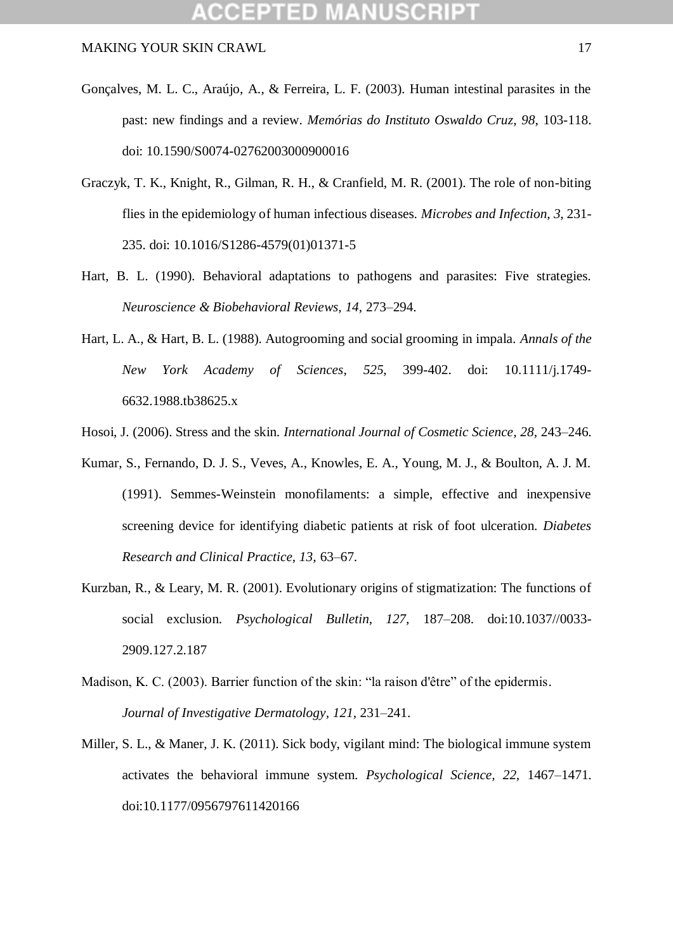- Gonçalves, M. L. C., Araújo, A., & Ferreira, L. F. (2003). Human intestinal parasites in the past: new findings and a review. *Memórias do Instituto Oswaldo Cruz*, *98*, 103-118. doi: 10.1590/S0074-02762003000900016
- Graczyk, T. K., Knight, R., Gilman, R. H., & Cranfield, M. R. (2001). The role of non-biting flies in the epidemiology of human infectious diseases. *Microbes and Infection*, *3*, 231- 235. doi: 10.1016/S1286-4579(01)01371-5
- Hart, B. L. (1990). Behavioral adaptations to pathogens and parasites: Five strategies. *Neuroscience & Biobehavioral Reviews, 14,* 273–294.
- Hart, L. A., & Hart, B. L. (1988). Autogrooming and social grooming in impala. *Annals of the New York Academy of Sciences*, *525*, 399-402. doi: 10.1111/j.1749- 6632.1988.tb38625.x
- Hosoi, J. (2006). Stress and the skin. *International Journal of Cosmetic Science, 28,* 243–246.
- Kumar, S., Fernando, D. J. S., Veves, A., Knowles, E. A., Young, M. J., & Boulton, A. J. M. (1991). Semmes-Weinstein monofilaments: a simple, effective and inexpensive screening device for identifying diabetic patients at risk of foot ulceration. *Diabetes Research and Clinical Practice, 13,* 63–67.
- Kurzban, R., & Leary, M. R. (2001). Evolutionary origins of stigmatization: The functions of social exclusion. *Psychological Bulletin, 127,* 187–208. doi:10.1037//0033- 2909.127.2.187
- Madison, K. C. (2003). Barrier function of the skin: "la raison d'être" of the epidermis. *Journal of Investigative Dermatology, 121,* 231–241.
- Miller, S. L., & Maner, J. K. (2011). Sick body, vigilant mind: The biological immune system activates the behavioral immune system. *Psychological Science, 22,* 1467–1471. doi:10.1177/0956797611420166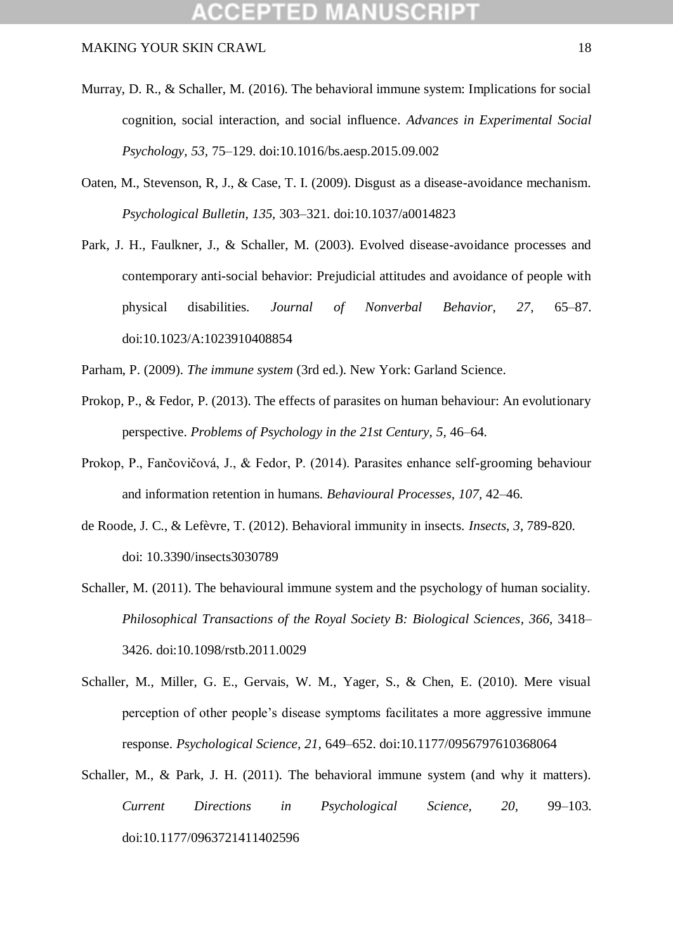- Murray, D. R., & Schaller, M. (2016). The behavioral immune system: Implications for social cognition, social interaction, and social influence. *Advances in Experimental Social Psychology, 53,* 75–129. doi:10.1016/bs.aesp.2015.09.002
- Oaten, M., Stevenson, R, J., & Case, T. I. (2009). Disgust as a disease-avoidance mechanism. *Psychological Bulletin, 135,* 303–321. doi:10.1037/a0014823
- Park, J. H., Faulkner, J., & Schaller, M. (2003). Evolved disease-avoidance processes and contemporary anti-social behavior: Prejudicial attitudes and avoidance of people with physical disabilities. *Journal of Nonverbal Behavior, 27,* 65–87. doi:10.1023/A:1023910408854
- Parham, P. (2009). *The immune system* (3rd ed.). New York: Garland Science.
- Prokop, P., & Fedor, P. (2013). The effects of parasites on human behaviour: An evolutionary perspective. *Problems of Psychology in the 21st Century, 5,* 46–64.
- Prokop, P., Fančovičová, J., & Fedor, P. (2014). Parasites enhance self-grooming behaviour and information retention in humans. *Behavioural Processes, 107,* 42–46.
- de Roode, J. C., & Lefèvre, T. (2012). Behavioral immunity in insects. *Insects*, *3*, 789-820. doi: 10.3390/insects3030789
- Schaller, M. (2011). The behavioural immune system and the psychology of human sociality. *Philosophical Transactions of the Royal Society B: Biological Sciences, 366,* 3418– 3426. doi:10.1098/rstb.2011.0029
- Schaller, M., Miller, G. E., Gervais, W. M., Yager, S., & Chen, E. (2010). Mere visual perception of other people's disease symptoms facilitates a more aggressive immune response. *Psychological Science, 21,* 649–652. doi:10.1177/0956797610368064
- Schaller, M., & Park, J. H. (2011). The behavioral immune system (and why it matters). *Current Directions in Psychological Science, 20,* 99–103. doi:10.1177/0963721411402596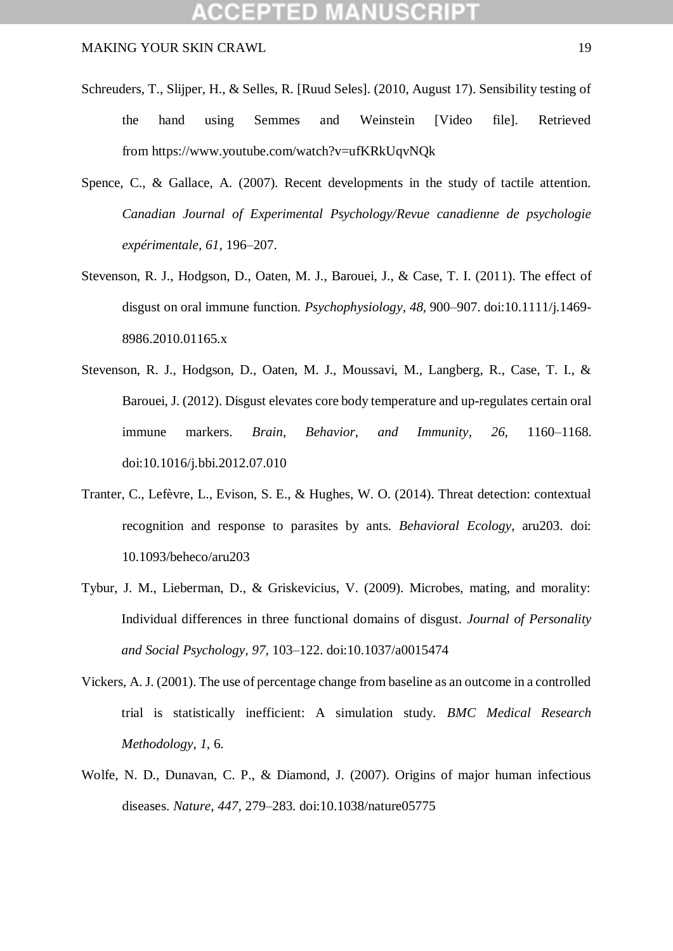- Schreuders, T., Slijper, H., & Selles, R. [Ruud Seles]. (2010, August 17). Sensibility testing of the hand using Semmes and Weinstein [Video file]. Retrieved from https://www.youtube.com/watch?v=ufKRkUqvNQk
- Spence, C., & Gallace, A. (2007). Recent developments in the study of tactile attention. *Canadian Journal of Experimental Psychology/Revue canadienne de psychologie expérimentale, 61,* 196–207.
- Stevenson, R. J., Hodgson, D., Oaten, M. J., Barouei, J., & Case, T. I. (2011). The effect of disgust on oral immune function. *Psychophysiology, 48,* 900–907. doi:10.1111/j.1469- 8986.2010.01165.x
- Stevenson, R. J., Hodgson, D., Oaten, M. J., Moussavi, M., Langberg, R., Case, T. I., & Barouei, J. (2012). Disgust elevates core body temperature and up-regulates certain oral immune markers. *Brain, Behavior, and Immunity, 26,* 1160–1168. doi:10.1016/j.bbi.2012.07.010
- Tranter, C., Lefèvre, L., Evison, S. E., & Hughes, W. O. (2014). Threat detection: contextual recognition and response to parasites by ants. *Behavioral Ecology*, aru203. doi: 10.1093/beheco/aru203
- Tybur, J. M., Lieberman, D., & Griskevicius, V. (2009). Microbes, mating, and morality: Individual differences in three functional domains of disgust. *Journal of Personality and Social Psychology, 97,* 103–122. doi:10.1037/a0015474
- Vickers, A. J. (2001). The use of percentage change from baseline as an outcome in a controlled trial is statistically inefficient: A simulation study. *BMC Medical Research Methodology, 1,* 6.
- Wolfe, N. D., Dunavan, C. P., & Diamond, J. (2007). Origins of major human infectious diseases. *Nature, 447,* 279–283. doi:10.1038/nature05775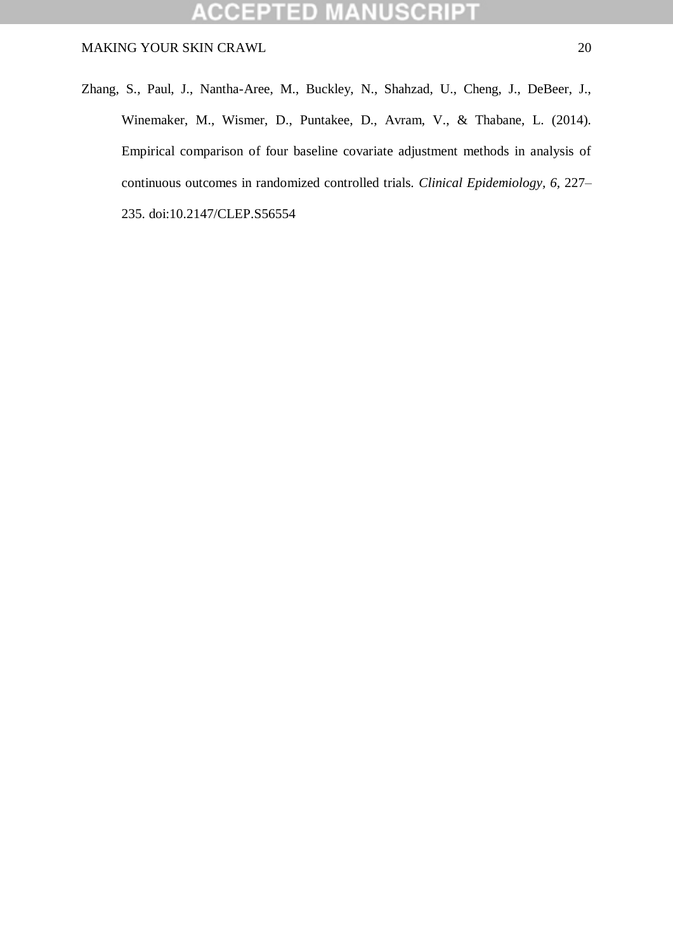#### **CCEPTED** J.A. NUSCR

#### MAKING YOUR SKIN CRAWL 20

Zhang, S., Paul, J., Nantha-Aree, M., Buckley, N., Shahzad, U., Cheng, J., DeBeer, J., Winemaker, M., Wismer, D., Puntakee, D., Avram, V., & Thabane, L. (2014). Empirical comparison of four baseline covariate adjustment methods in analysis of continuous outcomes in randomized controlled trials. *Clinical Epidemiology, 6,* 227– 235. doi:10.2147/CLEP.S56554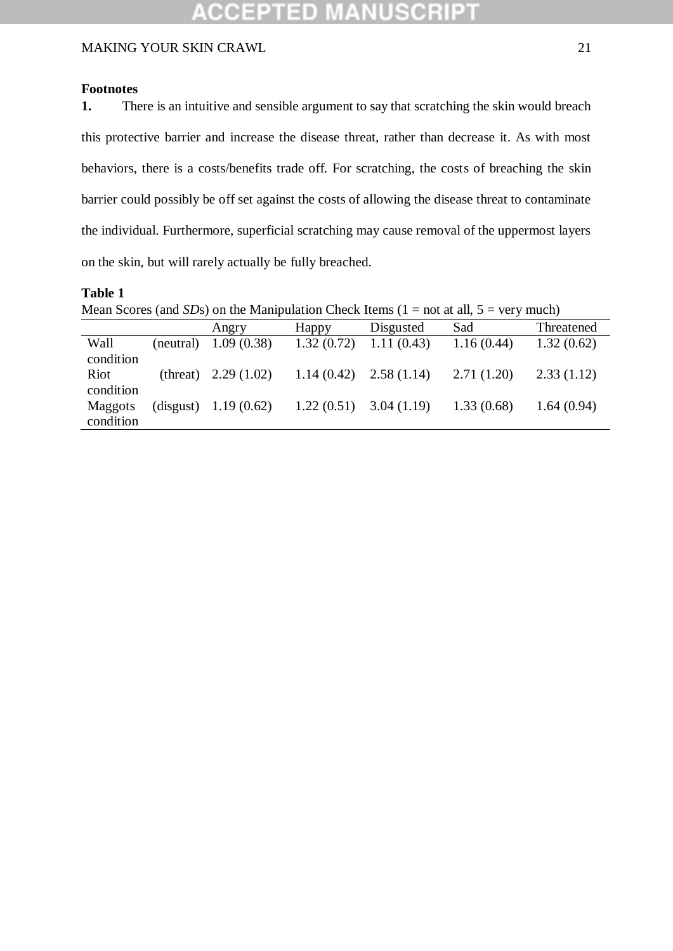#### **CCEPTED** USCR

#### MAKING YOUR SKIN CRAWL 21

#### **Footnotes**

**1.** There is an intuitive and sensible argument to say that scratching the skin would breach this protective barrier and increase the disease threat, rather than decrease it. As with most behaviors, there is a costs/benefits trade off. For scratching, the costs of breaching the skin barrier could possibly be off set against the costs of allowing the disease threat to contaminate the individual. Furthermore, superficial scratching may cause removal of the uppermost layers on the skin, but will rarely actually be fully breached.

#### **Table 1**

Mean Scores (and *SDs*) on the Manipulation Check Items ( $1 = not at all, 5 = very much$ )

|           |           | Angry      | Happy      | Disgusted  | Sad        | Threatened |
|-----------|-----------|------------|------------|------------|------------|------------|
| Wall      | (neutral) | 1.09(0.38) | 1.32(0.72) | 1.11(0.43) | 1.16(0.44) | 1.32(0.62) |
| condition |           |            |            |            |            |            |
| Riot      | (threat)  | 2.29(1.02) | 1.14(0.42) | 2.58(1.14) | 2.71(1.20) | 2.33(1.12) |
| condition |           |            |            |            |            |            |
| Maggots   | (disgust) | 1.19(0.62) | 1.22(0.51) | 3.04(1.19) | 1.33(0.68) | 1.64(0.94) |
| condition |           |            |            |            |            |            |
|           |           |            |            |            |            |            |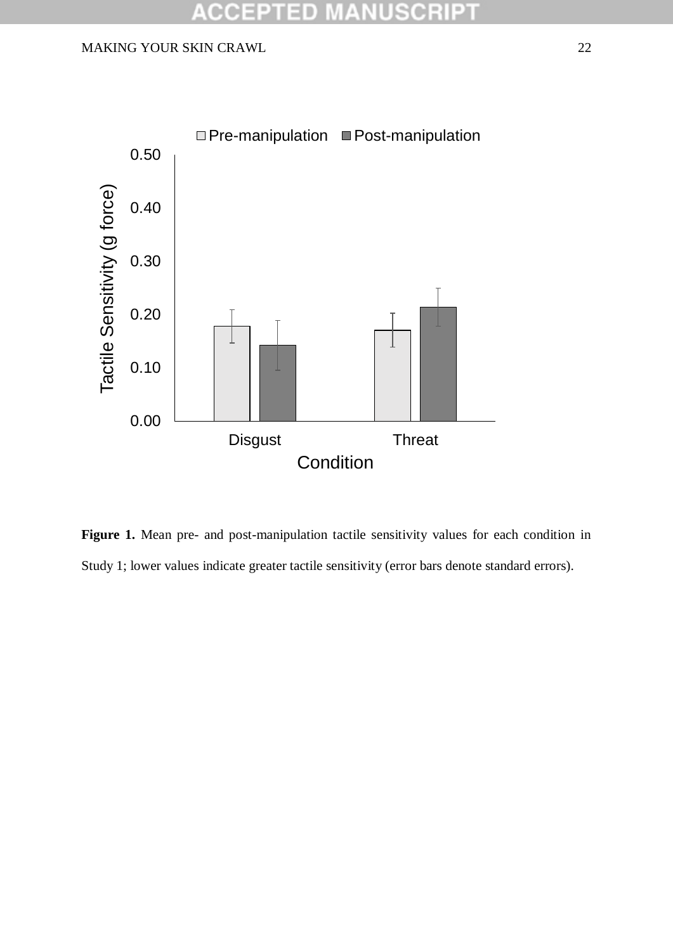

Figure 1. Mean pre- and post-manipulation tactile sensitivity values for each condition in Study 1; lower values indicate greater tactile sensitivity (error bars denote standard errors).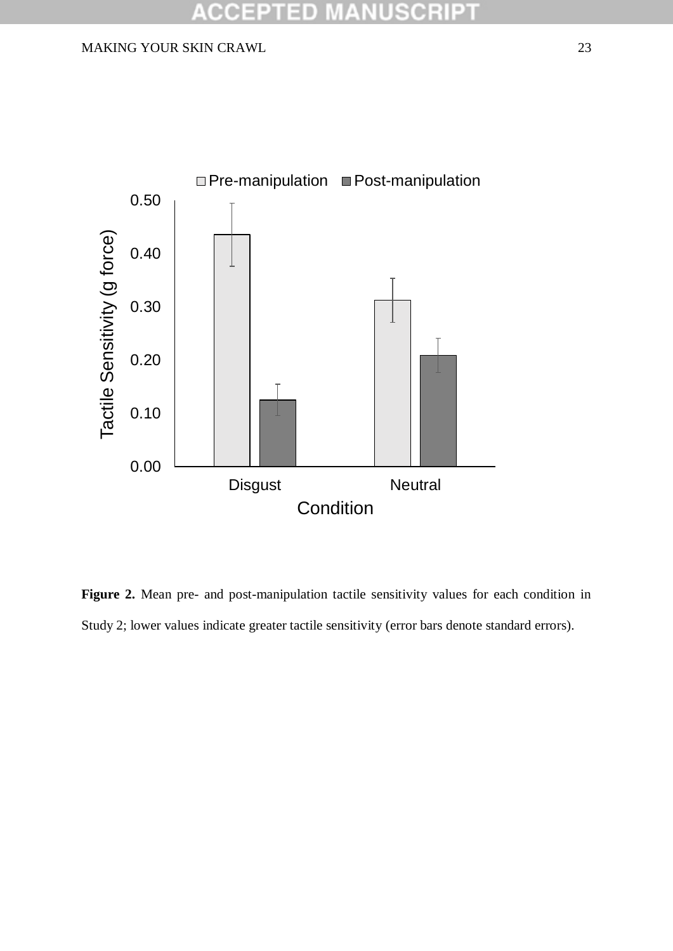

Figure 2. Mean pre- and post-manipulation tactile sensitivity values for each condition in Study 2; lower values indicate greater tactile sensitivity (error bars denote standard errors).